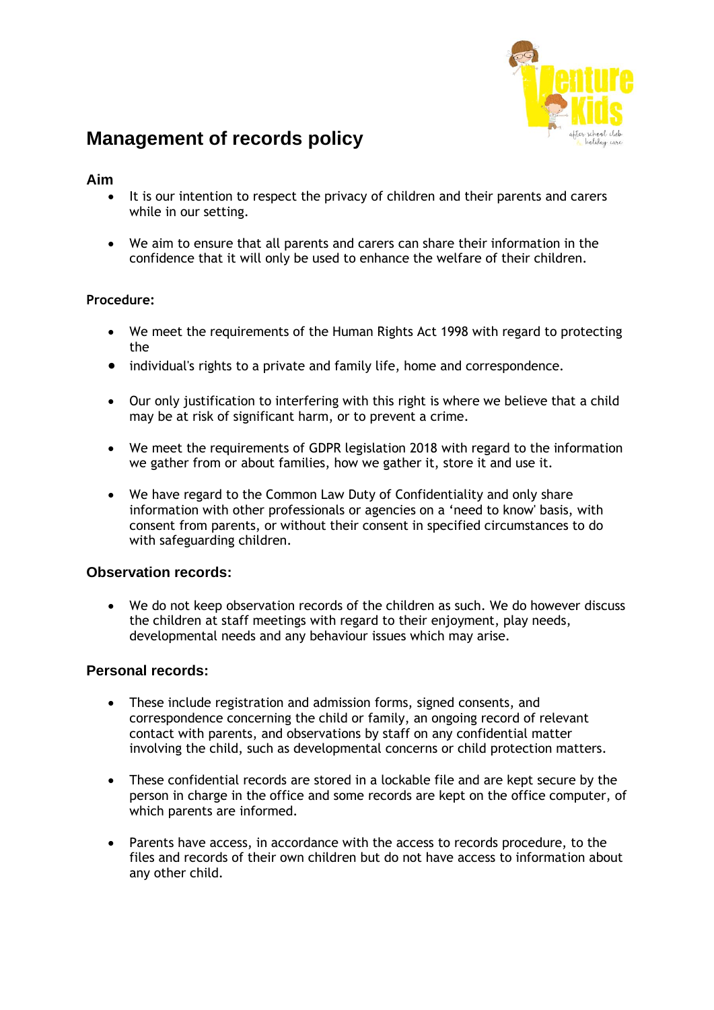

# **Management of records policy**

# **Aim**

- It is our intention to respect the privacy of children and their parents and carers while in our setting.
- We aim to ensure that all parents and carers can share their information in the confidence that it will only be used to enhance the welfare of their children.

#### **Procedure:**

- We meet the requirements of the Human Rights Act 1998 with regard to protecting the
- individual's rights to a private and family life, home and correspondence.
- Our only justification to interfering with this right is where we believe that a child may be at risk of significant harm, or to prevent a crime.
- We meet the requirements of GDPR legislation 2018 with regard to the information we gather from or about families, how we gather it, store it and use it.
- We have regard to the Common Law Duty of Confidentiality and only share information with other professionals or agencies on a 'need to know' basis, with consent from parents, or without their consent in specified circumstances to do with safeguarding children.

# **Observation records:**

• We do not keep observation records of the children as such. We do however discuss the children at staff meetings with regard to their enjoyment, play needs, developmental needs and any behaviour issues which may arise.

#### **Personal records:**

- These include registration and admission forms, signed consents, and correspondence concerning the child or family, an ongoing record of relevant contact with parents, and observations by staff on any confidential matter involving the child, such as developmental concerns or child protection matters.
- These confidential records are stored in a lockable file and are kept secure by the person in charge in the office and some records are kept on the office computer, of which parents are informed.
- Parents have access, in accordance with the access to records procedure, to the files and records of their own children but do not have access to information about any other child.